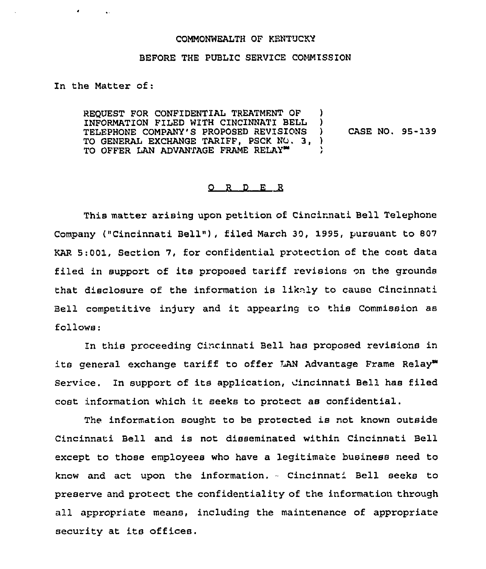## COMMONWEALTH OF KENTUCKY

## BEFORE THE PUBLIC SERVICE COMMISSION

In the Matter of:

 $\bullet$  . The second second  $\bullet$ 

REQUEST FOR CONFIDENTIAL TREATMENT OF INFORMATION FILED WITH CINCINNATI BELL TELEPHONE COMPANY'S PROPOSED REVISIONS TO GENERAL EXCHANGE TARIFF, PSCK NO. 3, ) TO OFFER LAN ADVANTAGE FRAME RELAY ) ) ) CASE NO. 95-139

## $Q$  R  $D$  E R

This matter arising upon petition of Cincirnati Bell Telephone Company ("Cincinnati Bell"), filed March 30, 1995, pursuant to 807 KAR 5:001, Section 7, for confidential protection of the cost data filed in support of its proposed tariff revisions on the grounds that disclosure of the information is likely to cause Cincinnati Bell competitive injury and it appearing to this Commission as follows:

In this proceeding Cincinnati Bell has proposed revisions in its general exchange tariff to offer LAN Advantage Frame Relay" Service. In support of its application, Cincinnati Bell has filed cost information which it seeks to protect as confidential.

The information sought to be protected is not known outside Cincinnati Bell and is not disseminated within Cincinnati Bell except to those employees who have a legitimate business need to know and act upon the information. - Cincinnati Bell seeks to preserve and protect the confidentiality of the information through all acpropriate means, including the maintenance of appropriate security at its offices.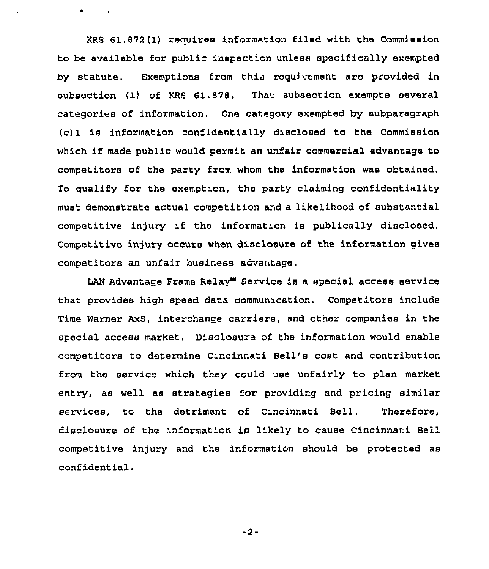KRS 61.872(1) requires information filed with the Commission to be available for public inspection unlesa specifically exempted by statute. Exemptions from this requirement are provided in subsection (1) of KRS 61.878. That subsection exempts several categories of information. One category exempted by subparagraph  $(c)$ 1 is information confidentially disclosed to the Commission which if made public would permit an unfair commercial advantage to competitors of the party from whom the information was obtained. To qualify for the exemption, the party claiming confidentiality must demonstrate actual competition and a likelihood of substantial competitive injury if the information is publically disclosed. competitive injury occurs when disclosure of the information gives competitors an unfair business advantage.

 $\bullet$   $\bullet$ 

LAN Advantage Frame Relay<sup>m</sup> Service is a special access service that provides high speed data communication. Competitors include Time Warner AxS, interchange carriers, and other companies in the special access market. Disclosure of the information would enable competitors to determine Cincinnati Bell's cost and contribution from the service which they could use unfairly to plan market entry, as well as strategies for providing and pricing similar services, to the detriment of Cincinnati Bell. Therefore, disclosure of the information is likely to cause Cincinnati Bell competitive in)ury and the information should be protected as confidential.

-2-